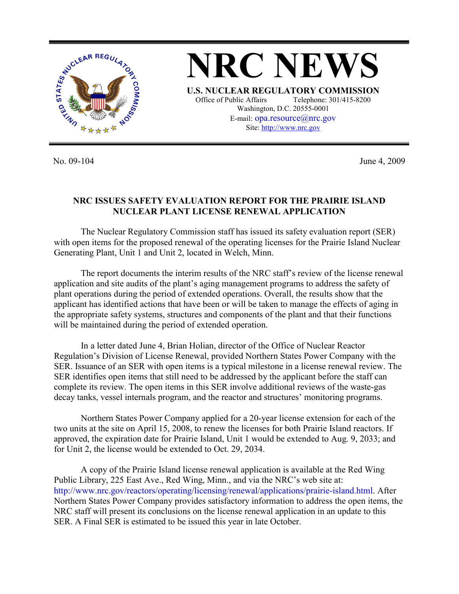

**NRC NEWS U.S. NUCLEAR REGULATORY COMMISSION** Office of Public Affairs Telephone: 301/415-8200 Washington, D.C. 20555-0001 E-mail: opa.resource@nrc.gov Site: http://www.nrc.gov

No. 09-104 June 4, 2009

## **NRC ISSUES SAFETY EVALUATION REPORT FOR THE PRAIRIE ISLAND NUCLEAR PLANT LICENSE RENEWAL APPLICATION**

 The Nuclear Regulatory Commission staff has issued its safety evaluation report (SER) with open items for the proposed renewal of the operating licenses for the Prairie Island Nuclear Generating Plant, Unit 1 and Unit 2, located in Welch, Minn.

 The report documents the interim results of the NRC staff's review of the license renewal application and site audits of the plant's aging management programs to address the safety of plant operations during the period of extended operations. Overall, the results show that the applicant has identified actions that have been or will be taken to manage the effects of aging in the appropriate safety systems, structures and components of the plant and that their functions will be maintained during the period of extended operation.

 In a letter dated June 4, Brian Holian, director of the Office of Nuclear Reactor Regulation's Division of License Renewal, provided Northern States Power Company with the SER. Issuance of an SER with open items is a typical milestone in a license renewal review. The SER identifies open items that still need to be addressed by the applicant before the staff can complete its review. The open items in this SER involve additional reviews of the waste-gas decay tanks, vessel internals program, and the reactor and structures' monitoring programs.

 Northern States Power Company applied for a 20-year license extension for each of the two units at the site on April 15, 2008, to renew the licenses for both Prairie Island reactors. If approved, the expiration date for Prairie Island, Unit 1 would be extended to Aug. 9, 2033; and for Unit 2, the license would be extended to Oct. 29, 2034.

A copy of the Prairie Island license renewal application is available at the Red Wing Public Library, 225 East Ave., Red Wing, Minn., and via the NRC's web site at: http://www.nrc.gov/reactors/operating/licensing/renewal/applications/prairie-island.html. After Northern States Power Company provides satisfactory information to address the open items, the NRC staff will present its conclusions on the license renewal application in an update to this SER. A Final SER is estimated to be issued this year in late October.